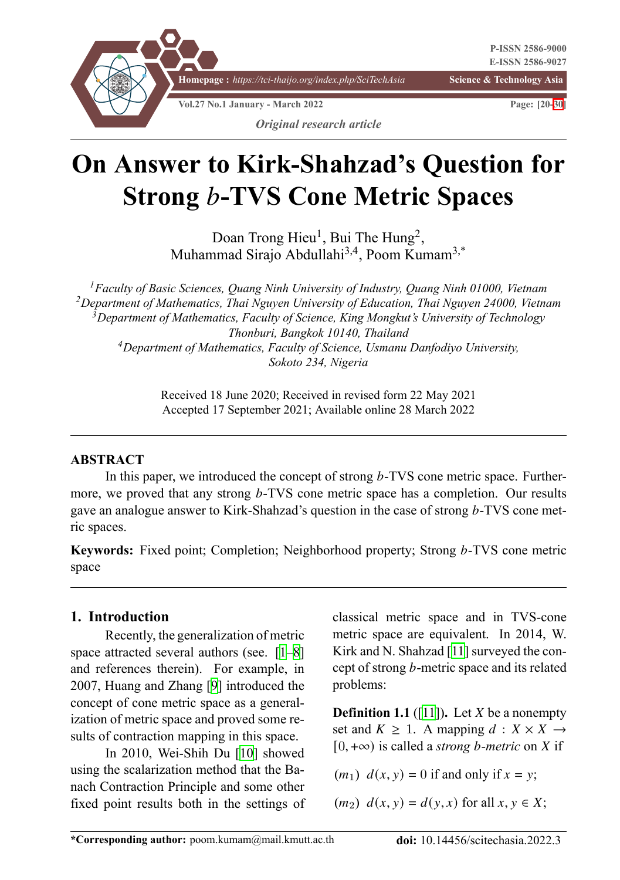

# **On Answer to Kirk-Shahzad's Question for Strong** *b***-TVS Cone Metric Spaces**

Doan Trong Hieu<sup>1</sup>, Bui The Hung<sup>2</sup>, Muhammad Sirajo Abdullahi3,4, Poom Kumam3,\*

*Faculty of Basic Sciences, Quang Ninh University of Industry, Quang Ninh 01000, Vietnam Department of Mathematics, Thai Nguyen University of Education, Thai Nguyen 24000, Vietnam Department of Mathematics, Faculty of Science, King Mongkut's University of Technology Thonburi, Bangkok 10140, Thailand Department of Mathematics, Faculty of Science, Usmanu Danfodiyo University, Sokoto 234, Nigeria*

> Received 18 June 2020; Received in revised form 22 May 2021 Accepted 17 September 2021; Available online 28 March 2022

# **ABSTRACT**

In this paper, we introduced the concept of strong  $b$ -TVS cone metric space. Furthermore, we proved that any strong b-TVS cone metric space has a completion. Our results gave an analogue answer to Kirk-Shahzad's question in the case of strong  $b$ -TVS cone metric spaces.

**Keywords:** Fixed point; Completion; [N](#page-9-0)[ei](#page-10-0)[g](#page-10-2)hborhood property; Strong b-TVS cone metric space

# **1. Introduction**

Recently, the generalization of metric space attracted several authors [\(se](#page-10-1)e. [1–8] and references therein). For example, in 2007, Huang and Zhang [9] introduced the concept of cone metric space as a generalization of metric space and proved some results of contraction mapping in this space.

In 2010, Wei-Shih Du [10] showed using the scalarization method that the Banach Contraction Principle and some other fixed point results both in the settings of classical metric [sp](#page-10-2)ace and in TVS-cone metric space are equivalent. In 2014, W. Kirk and N. Shahzad [11] surveyed the concept of strong  $b$ -metric space and its related problems:

**Definition 1.1** ([11]). Let  $X$  be a nonempty set and  $K \geq 1$ . A mapping  $d : X \times X \rightarrow$  $[0, +\infty)$  is called a *strong b-metric* on X if

 $(m_1)$   $d(x, y) = 0$  if and only if  $x = y$ ;

 $(m_2)$   $d(x, y) = d(y, x)$  for all  $x, y \in X$ ;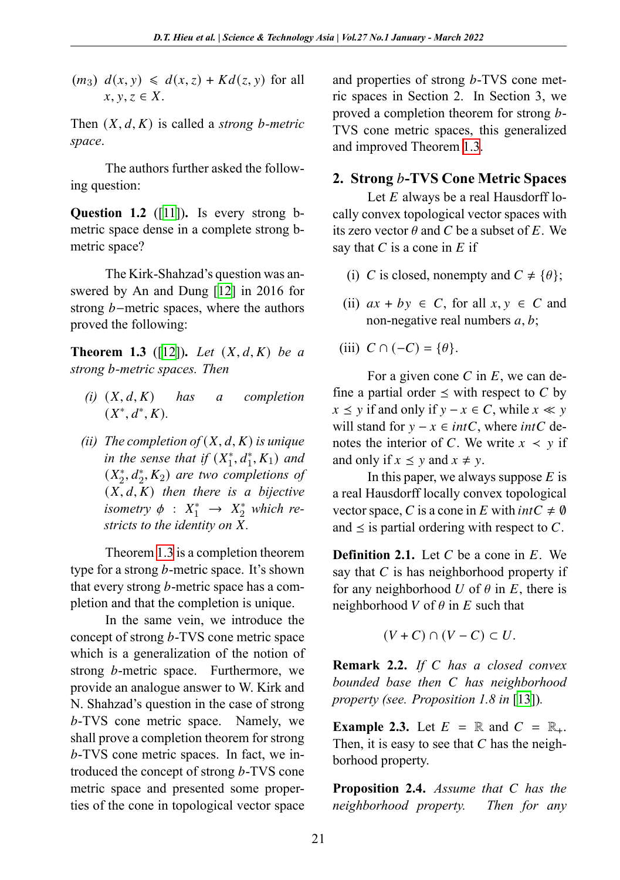$(m_3)$   $d(x, y) \leq d(x, z) + Kd(z, y)$  for all  $x, y, z \in X$ [.](#page-10-2)

Then  $(X, d, K)$  is called a *strong b*-metric *space*.

The authors further asked the following question:

<span id="page-1-0"></span>**Question 1.2** ([11])**.** Is every strong bmetric space dense in a complete strong bmetric space?

The Kirk-Shahzad's question was answered by An and Dung [12] in 2016 for strong  $b$ -metric spaces, where the authors proved the following:

**Theorem 1.3** ([12]). Let  $(X, d, K)$  be a *strong -metric spaces. Then*

- $(i)$   $(X, d, K)$  *has a completion*  $(X^*, d^*, K)$ .
- *(ii) The comp[letio](#page-1-0)n of*  $(X, d, K)$  *is unique in the sense that if*  $(X_1^*, d_1^*, K_1)$  *and*  $(X_2^*, d_2^*, K_2)$  are two completions of  $(X, d, K)$  *then there is a bijective isometry*  $\phi$  :  $X_1^* \rightarrow X_2^*$  *which restricts to the identity on*  $\overline{X}$ *.*

Theorem 1.3 is a completion theorem type for a strong  $b$ -metric space. It's shown that every strong  $b$ -metric space has a completion and that the completion is unique.

In the same vein, we introduce the concept of strong  $b$ -TVS cone metric space which is a generalization of the notion of strong *b*-metric space. Furthermore, we provide an analogue answer to W. Kirk and N. Shahzad's question in the case of strong b-TVS cone metric space. Namely, we shall prove a completion theorem for strong -TVS cone metric spaces. In fact, we introduced the concept of strong  $b$ -TVS cone metric space and presented some properties of the cone in topological vector space

and properties of strong  $b$ -TVS cone metric spaces in Section 2. In Section 3, we proved a completion theorem for strong *-*TVS cone metric spaces, this generalized and improved Theorem 1.3.

## **2. Strong -TVS Cone Metric Spaces**

Let  $E$  always be a real Hausdorff locally convex topological vector spaces with its zero vector  $\theta$  and C be a subset of E. We say that  $C$  is a cone in  $E$  if

- (i) C is closed, nonempty and  $C \neq \{\theta\};$
- (ii)  $ax + by \in C$ , for all  $x, y \in C$  and non-negative real numbers  $a, b$ ;
- (iii)  $C \cap (-C) = \{\theta\}.$

For a given cone C in  $E$ , we can define a partial order  $\leq$  with respect to C by  $x \le y$  if and only if  $y - x \in C$ , while  $x \ll y$ will stand for  $y - x \in intC$ , where  $intC$  denotes the interior of *C*. We write  $x \leq y$  if and only if  $x \leq y$  and  $x \neq y$ .

In this paper, we always suppose  $E$  is a real Hausdorff locally convex topological vector space, C is a cone in E with  $intC \neq \emptyset$ and  $\leq$  is partial ordering with respect to *C*.

**Definition 2.1.** Let  $C$  be a cone in  $E$ . We say that  $C$  is has neighborhood property if for any neighborhood  $U$  of  $\theta$  $\theta$  $\theta$  in  $E$ , there is neighborhood  $V$  of  $\theta$  in  $E$  such that

$$
(V+C)\cap (V-C)\subset U.
$$

<span id="page-1-1"></span>**Remark 2.2.** *If C* has a closed convex *bounded base then has neighborhood property (see. Proposition 1.8 in* [13])*.*

**Example 2.3.** Let  $E = \mathbb{R}$  and  $C = \mathbb{R}_+$ . Then, it is easy to see that  $C$  has the neighborhood property.

**Proposition 2.4.** *Assume that has the neighborhood property. Then for any*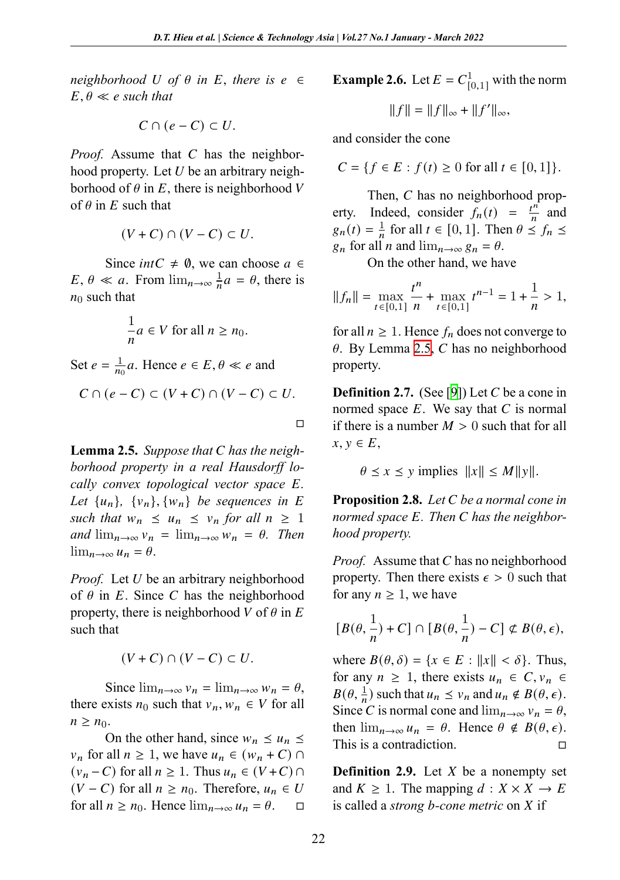*neighborhood*  $U$  *of*  $\theta$  *in*  $E$ *, there is*  $e \in$  $E, \theta \ll e$  *such that* 

$$
C \cap (e - C) \subset U.
$$

*Proof.* Assume that  $C$  has the neighborhood property. Let  $U$  be an arbitrary neighborhood of  $\theta$  in *E*, there is neighborhood *V* of  $\theta$  in  $E$  such that

$$
(V+C)\cap (V-C)\subset U.
$$

Since *intC*  $\neq$  0, we can choose  $a \in$  $E, \theta \ll a$ . From  $\lim_{n\to\infty} \frac{1}{n}$  $\frac{1}{n}a = \theta$ , there is  $n_0$  such that

$$
\frac{1}{n}a \in V \text{ for all } n \ge n_0.
$$

<span id="page-2-0"></span>Set  $e = \frac{1}{n}$  $\frac{1}{n_0}a$ . Hence  $e \in E$ ,  $\theta \ll e$  and

$$
C \cap (e - C) \subset (V + C) \cap (V - C) \subset U.
$$

□

**Lemma 2.5.** *Suppose that has the neighborhood property in a real Hausdorff locally convex topological vector space E*. Let  ${u_n}$ ,  ${v_n}$ ,  ${w_n}$  be sequences in E *such that*  $w_n \leq u_n \leq v_n$  *for all*  $n \geq 1$ *and*  $\lim_{n\to\infty} v_n = \lim_{n\to\infty} w_n = \theta$ . *Then*  $\lim_{n\to\infty}u_n=\theta.$ 

*Proof.* Let  $U$  be an arbitrary neighborhood of  $\theta$  in *E*. Since *C* has the neighborhood property, there is neighborhood V of  $\theta$  in E such that

 $(V + C) \cap (V - C) \subset U$ .

Since  $\lim_{n\to\infty} v_n = \lim_{n\to\infty} w_n = \theta$ , there exists  $n_0$  such that  $v_n$ ,  $w_n \in V$  for all  $n \geq n_0$ .

On the other hand, since  $w_n \leq u_n$  $v_n$  for all  $n \geq 1$ , we have  $u_n \in (w_n + C) \cap$  $(v_n - C)$  for all  $n \ge 1$ . Thus  $u_n \in (V + C) \cap$  $(V - C)$  for all  $n \ge n_0$ . Therefore,  $u_n \in U$ for all  $n \ge n_0$ . Hence  $\lim_{n \to \infty} u_n = \theta$ .  $\Box$  <span id="page-2-1"></span>**Example 2.6.** Let  $E = C_{[0,1]}^1$  with the norm  $||f|| = ||f||_{\infty} + ||f'||_{\infty},$ 

and consider the cone

$$
C = \{ f \in E : f(t) \ge 0 \text{ for all } t \in [0, 1] \}.
$$

Then,  $C$  has no neighborhood property. Indeed, consider  $f_n(t) = \frac{t^n}{n}$  $\frac{m}{n}$  and  $g_n(t) = \frac{1}{n}$  $\frac{1}{n}$  for all  $t \in [0, 1]$ . Then  $\theta \le f_n \le$  $g_n$  for all *n* and  $\lim_{n\to\infty} g_n = \theta$  $\lim_{n\to\infty} g_n = \theta$  $\lim_{n\to\infty} g_n = \theta$ .

On the other hand, we have

$$
||f_n|| = \max_{t \in [0,1]} \frac{t^n}{n} + \max_{t \in [0,1]} t^{n-1} = 1 + \frac{1}{n} > 1,
$$

for all  $n \geq 1$ . Hence  $f_n$  does not converge to  $\theta$ . By Lemma 2.5, C has no neighborhood property.

**Definition 2.7.** (See [9]) Let  $C$  be a cone in normed space  $E$ . We say that  $C$  is normal if there is a number  $M > 0$  such that for all  $x, y \in E$ ,

 $\theta \leq x \leq y$  implies  $||x|| \leq M||y||$ .

**Proposition 2.8.** *Let be a normal cone in normed space . Then has the neighborhood property.*

*Proof.* Assume that  $C$  has no neighborhood property. Then there exists  $\epsilon > 0$  such that for any  $n \geq 1$ , we have

$$
[B(\theta,\frac{1}{n})+C]\cap[B(\theta,\frac{1}{n})-C]\not\subset B(\theta,\epsilon),
$$

where  $B(\theta, \delta) = \{x \in E : ||x|| < \delta\}$ . Thus, for any  $n \geq 1$ , there exists  $u_n \in C$ ,  $v_n \in$  $B(\theta, \frac{1}{n})$  such that  $u_n \le v_n$  and  $u_n \notin B(\theta, \epsilon)$ . Since C is normal cone and  $\lim_{n\to\infty} v_n = \theta$ , then  $\lim_{n\to\infty} u_n = \theta$ . Hence  $\theta \notin B(\theta, \epsilon)$ . This is a contradiction. □

**Definition 2.9.** Let  $X$  be a nonempty set and  $K \geq 1$ . The mapping  $d : X \times X \rightarrow E$ is called a *strong b-cone metric* on X if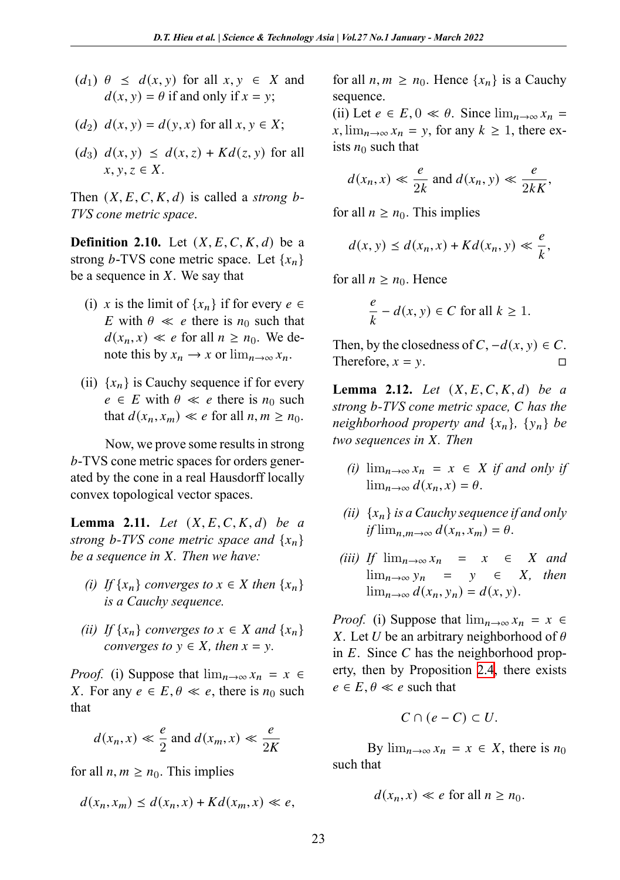- $(d_1)$   $\theta \leq d(x, y)$  for all  $x, y \in X$  and  $d(x, y) = \theta$  if and only if  $x = y$ ;
- (*d*<sub>2</sub>)  $d(x, y) = d(y, x)$  for all  $x, y \in X$ ;
- $(d_3)$   $d(x, y) \leq d(x, z) + Kd(z, y)$  for all  $x, y, z \in X$ .

Then  $(X, E, C, K, d)$  is called a *strong b*-*TVS cone metric space*.

**Definition 2.10.** Let  $(X, E, C, K, d)$  be a strong b-TVS cone metric space. Let  $\{x_n\}$ be a sequence in  $X$ . We say that

- (i) x is the limit of  $\{x_n\}$  if for every  $e \in$ E with  $\theta \ll e$  there is  $n_0$  such that  $d(x_n, x) \ll e$  for all  $n \geq n_0$ . We denote this by  $x_n \to x$  or  $\lim_{n\to\infty} x_n$ .
- (ii)  $\{x_n\}$  is Cauchy sequence if for every  $e \in E$  with  $\theta \ll e$  there is  $n_0$  such that  $d(x_n, x_m) \ll e$  for all  $n, m \geq n_0$ .

Now, we prove some results in strong -TVS cone metric spaces for orders generated by the cone in a real Hausdorff locally convex topological vector spaces.

**Lemma 2.11.** *Let*  $(X, E, C, K, d)$  *be a strong b*-*TVS* cone metric space and  $\{x_n\}$ *be a sequence in . Then we have:*

- *(i) If*  $\{x_n\}$  *converges to*  $x \in X$  *then*  $\{x_n\}$ *is a Cauchy sequence.*
- *(ii) If*  $\{x_n\}$  *converges to*  $x \in X$  *and*  $\{x_n\}$ *converges to*  $y \in X$ *, then*  $x = y$ *.*

*Proof.* (i) Suppose that  $\lim_{n\to\infty} x_n = x$ *X*. For any  $e \in E$ ,  $\theta \ll e$ , there is  $n_0$  such that

$$
d(x_n, x) \ll \frac{e}{2} \text{ and } d(x_m, x) \ll \frac{e}{2K}
$$

for all  $n, m \geq n_0$ . This implies

$$
d(x_n, x_m) \le d(x_n, x) + K d(x_m, x) \ll e,
$$

for all  $n, m \geq n_0$ . Hence  $\{x_n\}$  is a Cauchy sequence.

(ii) Let  $e \in E$ ,  $0 \ll \theta$ . Since  $\lim_{n \to \infty} x_n =$  $x, \lim_{n\to\infty} x_n = y$ , for any  $k \ge 1$ , there exists  $n_0$  such that

$$
d(x_n, x) \ll \frac{e}{2k} \text{ and } d(x_n, y) \ll \frac{e}{2kK},
$$

for all  $n \geq n_0$ . This implies

$$
d(x, y) \le d(x_n, x) + Kd(x_n, y) \ll \frac{e}{k},
$$

<span id="page-3-0"></span>for all  $n \geq n_0$ . Hence

$$
\frac{e}{k} - d(x, y) \in C \text{ for all } k \ge 1.
$$

Then, by the closedness of  $C$ ,  $-d(x, y) \in C$ . Therefore,  $x = y$ .

**Lemma 2.12.** *Let*  $(X, E, C, K, d)$  *be a strong -TVS cone metric space, has the neighborhood property and*  $\{x_n\}$ ,  $\{y_n\}$  *be two sequences in X. Then* 

- *(i)*  $\lim_{n\to\infty} x_n = x \in X$  *if and only if*  $\lim_{n\to\infty} d(x_n, x) = \theta.$
- *(ii)*  $\{x_n\}$  *is a Cauchy sequence if and only*  $if$   $\lim_{n,m\to\infty} d(x_n, x_m) = \theta.$
- *(iii) If*  $\lim_{n\to\infty} x_n = x \in X$  *and*  $\lim_{n\to\infty} y_n = y \in X$ , then  $\lim_{n\to\infty} d(x_n, y_n) = d(x, y).$

*Proof.* (i) Suppose that  $\lim_{n\to\infty} x_n = x$ X. Let U be an arbitrary neighborhood of  $\theta$ in  $E$ . Since  $C$  has the neighborhood property, then by Proposition 2.4, there exists  $e \in E$ ,  $\theta \ll e$  such that

$$
C \cap (e - C) \subset U.
$$

By  $\lim_{n\to\infty} x_n = x \in X$ , there is  $n_0$ such that

$$
d(x_n, x) \ll e \text{ for all } n \ge n_0.
$$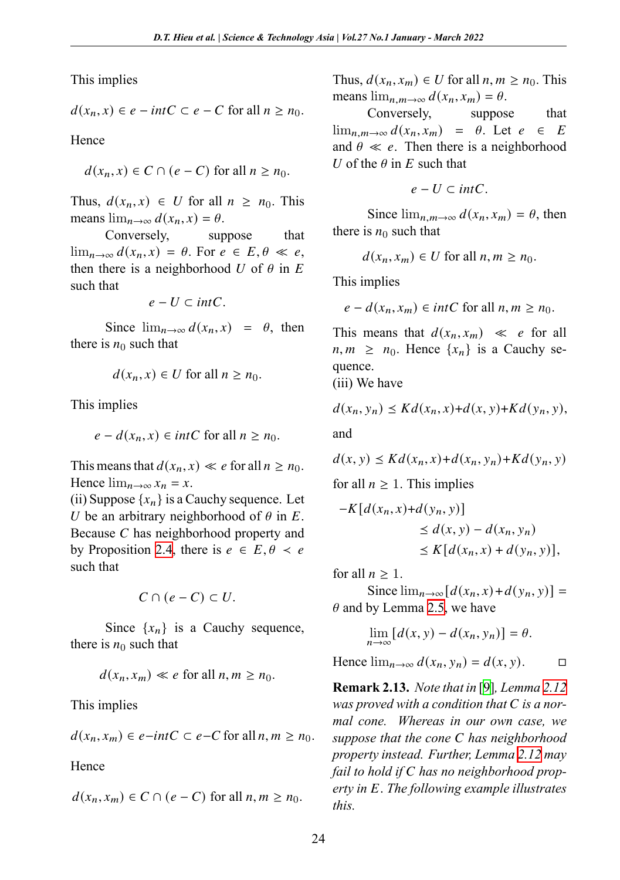This implies

$$
d(x_n, x) \in e - intC \subset e - C \text{ for all } n \ge n_0.
$$

Hence

$$
d(x_n, x) \in C \cap (e - C) \text{ for all } n \ge n_0.
$$

Thus,  $d(x_n, x) \in U$  for all  $n \geq n_0$ . This means  $\lim_{n\to\infty} d(x_n, x) = \theta$ .

Conversely, suppose that  $\lim_{n\to\infty} d(x_n, x) = \theta$ . For  $e \in E, \theta \ll e$ , then there is a neighborhood U of  $\theta$  in E such that

 $e - U \subset intC$ .

Since  $\lim_{n\to\infty} d(x_n, x) = \theta$ , then there is  $n_0$  such that

$$
d(x_n, x) \in U \text{ for all } n \ge n_0.
$$

This implies

$$
e - d(x_n, x) \in intC \text{ for all } n \ge n_0.
$$

This means that  $d(x_n, x) \ll e$  for all  $n \geq n_0$ . Hence  $\lim_{n\to\infty} x_n = x$ .

(ii) Suppose  $\{x_n\}$  is a Cauchy sequence. Let U be an arbitrary neighborhood of  $\theta$  in E. Because  $C$  has neighborhood property and by Proposition 2.4, there is  $e \in E$ ,  $\theta \prec e$ such that

$$
C\cap (e-C)\subset U.
$$

Since  $\{x_n\}$  is a Cauchy sequence, there is  $n_0$  such that

$$
d(x_n, x_m) \ll e \text{ for all } n, m \ge n_0.
$$

This implies

$$
d(x_n, x_m) \in e-intC \subset e-C \text{ for all } n, m \ge n_0.
$$

**Hence** 

$$
d(x_n, x_m) \in C \cap (e - C) \text{ for all } n, m \ge n_0.
$$

Thus,  $d(x_n, x_m) \in U$  for all  $n, m \ge n_0$ . This means  $\lim_{n,m\to\infty} d(x_n, x_m) = \theta$ .

Conversely, suppose that  $\lim_{n,m\to\infty} d(x_n, x_m) = \theta$ . Let  $e \in E$ and  $\theta \ll e$ . Then there is a neighborhood U of the  $\theta$  in E such that

$$
e-U\subset intC.
$$

Since  $\lim_{n,m\to\infty} d(x_n, x_m) = \theta$ , then there is  $n_0$  such that

$$
d(x_n, x_m) \in U \text{ for all } n, m \ge n_0.
$$

This implies

$$
e - d(x_n, x_m) \in intC \text{ for all } n, m \ge n_0.
$$

This means that  $d(x_n, x_m) \ll e$  for all  $n, m \geq n_0$ . Hence  $\{x_n\}$  is a Cauchy sequence.

(iii) We have

 $d(x_n, y_n) \leq K d(x_n, x) + d(x, y) + K d(y_n, y),$ and

$$
d(x, y) \le Kd(x_n, x) + d(x_n, y_n) + Kd(y_n, y)
$$

for all  $n \geq 1$ . This implies

$$
-K[d(x_n, x)+d(y_n, y)]
$$
  
\n
$$
\leq d(x, y) - d(x_n, y_n)
$$
  
\n
$$
\leq K[d(x_n, x) + d(y_n, y)],
$$

for all  $n \geq 1$ .

Since $\lim_{n\to\infty} [d(x_n, x) + d(y_n, y)] =$  $\lim_{n\to\infty} [d(x_n, x) + d(y_n, y)] =$  $\lim_{n\to\infty} [d(x_n, x) + d(y_n, y)] =$  $\theta$  and by Lemma 2.5, we have

$$
\lim_{n \to \infty} [d(x, y) - d(x_n, y_n)] = \theta.
$$

Hence  $\lim_{n\to\infty} d(x_n, y_n) = d(x, y)$  $\lim_{n\to\infty} d(x_n, y_n) = d(x, y)$  $\lim_{n\to\infty} d(x_n, y_n) = d(x, y)$ . □

**Remark 2.13.** *Note that in* [9]*, Lemma 2.12 was proved with a condition that is a normal cone. Whereas in our own case, we suppose that the cone has neighborhood property instead. Further, Lemma 2.12 may* fail to hold if C has no neighborhood prop*erty in . The following example illustrates this.*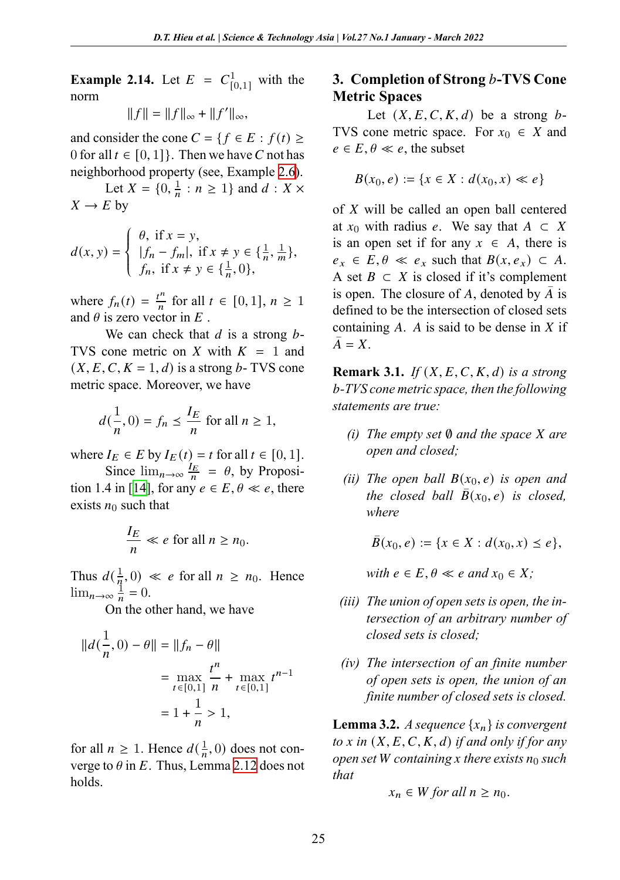**Example 2.14.** Let  $E = C_{[0,1]}^1$  wit[h th](#page-2-1)e norm

 $||f|| = ||f||_{\infty} + ||f'||_{\infty},$ 

and consider the cone  $C = \{ f \in E : f(t) \ge$ 0 for all  $t \in [0, 1]$ . Then we have C not has neighborhood property (see, Example 2.6).

Let  $X = \{0, \frac{1}{n}\}$  $\frac{1}{n}$  :  $n \geq 1$ } and  $d$  :  $X \times$  $X \rightarrow E$  by

$$
d(x, y) = \begin{cases} \theta, & \text{if } x = y, \\ |f_n - f_m|, & \text{if } x \neq y \in \{\frac{1}{n}, \frac{1}{m}\}, \\ f_n, & \text{if } x \neq y \in \{\frac{1}{n}, 0\}, \end{cases}
$$

where  $f_n(t) = \frac{t^n}{n}$  $\frac{f^n}{n}$  for all  $t \in [0,1], n \ge 1$ and  $\theta$  is zero vector in  $E$ .

We can check that  $d$  is a strong  $b$ -TVS cone metric on X with  $K = 1$  and  $(X, E, C, K = 1, d)$  is a strong *b*-TVS cone metric spac[e. M](#page-10-5)oreover, we have

$$
d(\frac{1}{n},0) = f_n \le \frac{I_E}{n} \text{ for all } n \ge 1,
$$

where  $I_E \in E$  by  $I_E(t) = t$  for all  $t \in [0, 1]$ .

Since  $\lim_{n\to\infty} \frac{I_E}{n} = \theta$ , by Proposition 1.4 in [14], for any  $e \in E$ ,  $\theta \ll e$ , there exists  $n_0$  such that

$$
\frac{I_E}{n} \ll e \text{ for all } n \ge n_0.
$$

Thus  $d\left(\frac{1}{n}\right)$  $\frac{1}{n}$ , 0) « *e* for all  $n \ge n_0$ . Hence  $\lim_{n\to\infty}\frac{1}{n}$  $\frac{1}{n} = 0.$ 

On the other hand, we have

$$
||d(\frac{1}{n},0) - \theta|| = ||f_n - \theta||
$$
  
= 
$$
\max_{t \in [0,1]} \frac{t^n}{n} + \max_{t \in [0,1]} t^{n-1}
$$
  
= 
$$
1 + \frac{1}{n} > 1,
$$

for all  $n \geq 1$ . Hence  $d(\frac{1}{n})$  $\frac{1}{n}$ , 0) does not converge to  $\theta$  in E. Thus, Lemma 2.12 does not holds.

# **3. Completion of Strong** *b***-TVS Cone Metric Spaces**

Let  $(X, E, C, K, d)$  be a strong b-TVS cone metric space. For  $x_0 \in X$  and  $e \in E, \theta \ll e$ , the subset

$$
B(x_0, e) := \{ x \in X : d(x_0, x) \ll e \}
$$

of  $X$  will be called an open ball centered at  $x_0$  with radius e. We say that  $A \subset X$ is an open set if for any  $x \in A$ , there is  $e_x \in E, \theta \ll e_x$  such that  $B(x, e_x) \subset A$ . A set  $B \subset X$  is closed if it's complement is open. The closure of A, denoted by  $\overline{A}$  is defined to be the intersection of closed sets containing  $A$ .  $A$  is said to be dense in  $X$  if  $\overline{A} = X$ .

**Remark 3.1.** *If*  $(X, E, C, K, d)$  *is a strong -TVS cone metric space, then the following statements are true:*

- *(i) The empty set* **Ø** *and the space X are open and closed;*
- *(ii)* The open ball  $B(x_0, e)$  *is open and the closed ball*  $B(x_0, e)$  *is closed, where*

 $\overline{B}(x_0, e) := \{x \in X : d(x_0, x) \leq e\},\,$ 

*with*  $e \in E, \theta \ll e$  *and*  $x_0 \in X$ ;

- *(iii) The union of open sets is open, the intersection of an arbitrary number of closed sets is closed;*
- *(iv) The intersection of an finite number of open sets is open, the union of an finite number of closed sets is closed.*

**Lemma 3.2.** *A sequence*  $\{x_n\}$  *is convergent to*  $x$  in  $(X, E, C, K, d)$  *if and only if for any open set W* containing x there exists  $n_0$  such *that*

$$
x_n \in W \text{ for all } n \ge n_0.
$$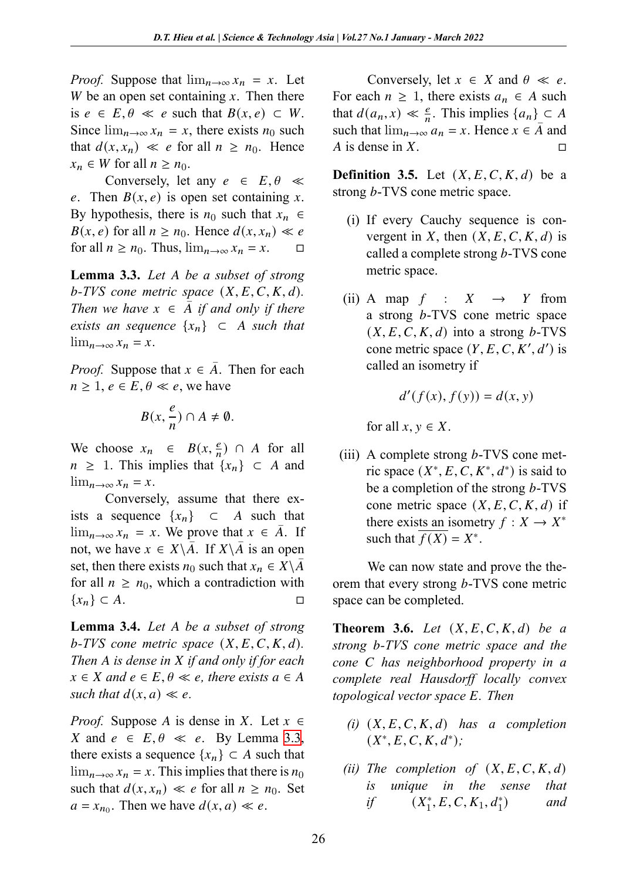*Proof.* Suppose that  $\lim_{n\to\infty} x_n = x$ . Let W be an open set containing  $x$ . Then there is  $e \in E, \theta \ll e$  such that  $B(x, e) \subset W$ . Since  $\lim_{n\to\infty} x_n = x$ , there exists  $n_0$  such that  $d(x, x_n) \ll e$  for all  $n \geq n_0$ . Hence  $x_n \in W$  for all  $n \geq n_0$ .

<span id="page-6-0"></span>Conversely, let any  $e \in E, \theta \ll$ e. Then  $B(x, e)$  is open set containing x. By hypothesis, there is  $n_0$  such that  $x_n \in$  $B(x, e)$  for all  $n \ge n_0$ . Hence  $d(x, x_n) \ll e$ for all  $n \ge n_0$ . Thus,  $\lim_{n \to \infty} x_n = x$ .  $\Box$ 

**Lemma 3.3.** *Let be a subset of strong*  $b$ -TVS cone metric space  $(X, E, C, K, d)$ . *Then we have*  $x \in \overline{A}$  *if and only if there exists an sequence*  $\{x_n\}$  ⊂ *A such that*  $\lim_{n\to\infty} x_n = x.$ 

*Proof.* Suppose that  $x \in \overline{A}$ . Then for each  $n \geq 1, e \in E, \theta \ll e$ , we have

$$
B(x,\frac{e}{n})\cap A\neq\emptyset.
$$

We choose  $x_n \in B(x, \frac{e}{n}) \cap A$  for all  $n \geq 1$ . This implies that  $\{x_n\} \subset A$  and  $\lim_{n\to\infty} x_n = x.$ 

Conversely, assume that there exists a sequence  $\{x_n\}$  ⊂ A such that  $\lim_{n\to\infty} x_n = x$ . We prove that  $x \in \overline{A}$ . If not, we have  $x \in X \backslash A$ . If  $X \backslash A$  is an open set, then there exists  $n_0$  such that  $x_n \in X \backslash A$ for all  $n \geq n_0$ , which a contradiction with  ${x_n} \subset A.$ 

**Lemma 3.4.** *Let be a subset of st[rong](#page-6-0)*  $b$ -*TVS* cone metric space  $(X, E, C, K, d)$ . *Then is dense in if and only if for each*  $x \in X$  and  $e \in E$ ,  $\theta \ll e$ , there exists  $a \in A$ *such that*  $d(x, a) \ll e$ .

*Proof.* Suppose A is dense in X. Let  $x \in$ X and  $e \in E, \theta \ll e$ . By Lemma 3.3, there exists a sequence  $\{x_n\} \subset A$  such that  $\lim_{n\to\infty} x_n = x$ . This implies that there is  $n_0$ such that  $d(x, x_n) \ll e$  for all  $n \geq n_0$ . Set  $a = x_{n_0}$ . Then we have  $d(x, a) \ll e$ .

Conversely, let  $x \in X$  and  $\theta \ll e$ . For each  $n \geq 1$ , there exists  $a_n \in A$  such that  $d(a_n, x) \ll \frac{e}{n}$ . This implies  $\{a_n\} \subset A$ such that  $\lim_{n\to\infty} a_n = x$ . Hence  $x \in A$  and A is dense in  $X$ .  $\square$ 

**Definition 3.5.** Let  $(X, E, C, K, d)$  be a strong *b*-TVS cone metric space.

- (i) If every Cauchy sequence is convergent in X, then  $(X, E, C, K, d)$  is called a complete strong b-TVS cone metric space.
- (ii) A map  $f : X \rightarrow Y$  from a strong  $b$ -TVS cone metric space  $(X, E, C, K, d)$  into a strong b-TVS cone metric space  $(Y, E, C, K', d')$  is called an isometry if

$$
d'(f(x), f(y)) = d(x, y)
$$

for all  $x, y \in X$ .

(iii) A complete strong  $b$ -TVS cone metric space  $(X^*, E, C, K^*, d^*)$  is said to be a completion of the strong  $b$ -TVS cone metric space  $(X, E, C, K, d)$  if there exists an isometry  $f : X \to X^*$ such that  $\overline{f(X)} = X^*$ .

<span id="page-6-1"></span>We can now state and prove the theorem that every strong b-TVS cone metric space can be completed.

**Theorem 3.6.** *Let*  $(X, E, C, K, d)$  *be a strong b*-*TVS* cone metric space and the *cone has neighborhood property in a complete real Hausdorff locally convex topological vector space E. Then* 

- $(i)$   $(X, E, C, K, d)$  has a completion  $(X^*, E, C, K, d^*)$ ;
- *(ii) The completion of*  $(X, E, C, K, d)$ *is unique in the sense that if*  $(X_1^*, E, C, K_1, d_1^*)$ ) *and*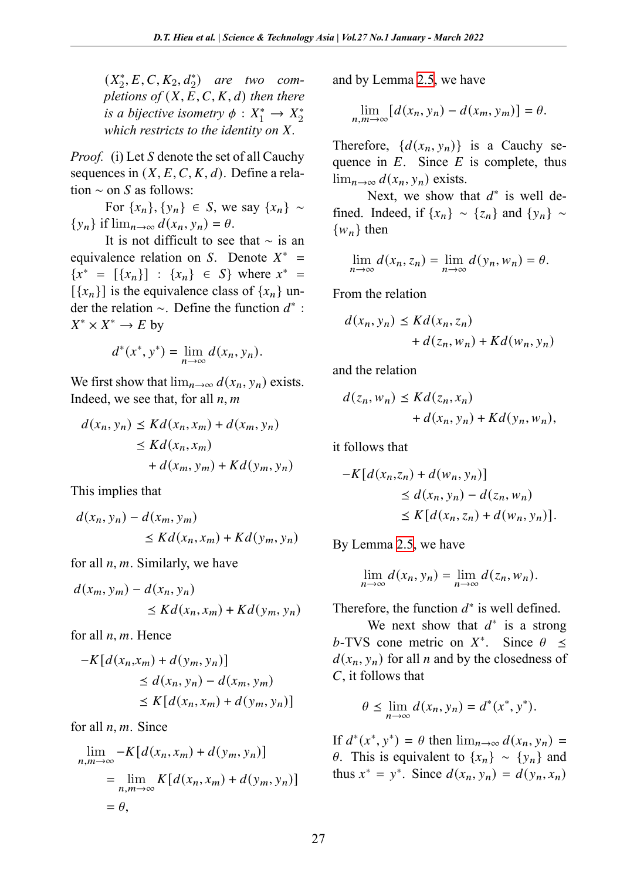$(X_2^*, E, C, K_2, d_2^*)$  are two com*pletions of*  $(X, E, C, K, d)$  *then there is a bijective isometry*  $\phi: X_1^* \to X_2^*$ *which restricts to the identity on X.* 

*Proof.* (i) Let *S* denote the set of all Cauchy sequences in  $(X, E, C, K, d)$ . Define a relation  $\sim$  on S as follows:

For  ${x_n}$ ,  ${y_n}$  ∈ *S*, we say  ${x_n}$  ∼  ${y_n}$  if  $\lim_{n\to\infty} d(x_n, y_n) = \theta$ .

It is not difficult to see that ∼ is an equivalence relation on S. Denote  $X^* =$  ${x^*} = [{x_n}] : {x_n} \in S}$  where  $x^* =$  $[\{x_n\}]$  is the equivalence class of  $\{x_n\}$  under the relation  $\sim$ . Define the function  $d^*$ :  $X^* \times X^* \to E$  by

$$
d^*(x^*, y^*) = \lim_{n \to \infty} d(x_n, y_n).
$$

We first show that  $\lim_{n\to\infty} d(x_n, y_n)$  exists. Indeed, we see that, for all  $n, m$ 

$$
d(x_n, y_n) \le K d(x_n, x_m) + d(x_m, y_n)
$$
  
\n
$$
\le K d(x_n, x_m)
$$
  
\n
$$
+ d(x_m, y_m) + K d(y_m, y_n)
$$

This implies that

$$
d(x_n, y_n) - d(x_m, y_m)
$$
  
\n
$$
\leq K d(x_n, x_m) + K d(y_m, y_n)
$$

for all  $n, m$ . Similarly, we have

$$
d(x_m, y_m) - d(x_n, y_n)
$$
  
\n
$$
\leq K d(x_n, x_m) + K d(y_m, y_n)
$$

for all  $n, m$ . Hence

$$
-K[d(x_n,x_m) + d(y_m, y_n)]
$$
  
\n
$$
\leq d(x_n, y_n) - d(x_m, y_m)
$$
  
\n
$$
\leq K[d(x_n, x_m) + d(y_m, y_n)]
$$

for all  $n, m$ . Since

$$
\lim_{n,m \to \infty} -K[d(x_n, x_m) + d(y_m, y_n)]
$$
  
= 
$$
\lim_{n,m \to \infty} K[d(x_n, x_m) + d(y_m, y_n)]
$$
  
= 
$$
\theta,
$$

and by Lemma 2.5, we have

$$
\lim_{n,m\to\infty} [d(x_n,y_n)-d(x_m,y_m)] = \theta.
$$

Therefore,  $\{d(x_n, y_n)\}\$ is a Cauchy sequence in  $E$ . Since  $E$  is complete, thus  $\lim_{n\to\infty} d(x_n, y_n)$  exists.

Next, we show that  $d^*$  is well defined. Indeed, if  $\{x_n\} \sim \{z_n\}$  and  $\{y_n\} \sim$  ${w_n}$  then

$$
\lim_{n \to \infty} d(x_n, z_n) = \lim_{n \to \infty} d(y_n, w_n) = \theta.
$$

From the relation

$$
d(x_n, y_n) \le K d(x_n, z_n)
$$
  
+  $d(z_n, w_n) + K d(w_n, y_n)$ 

and the relation

$$
d(z_n, w_n) \le K d(z_n, x_n)
$$
  
+ 
$$
d(x_n, y_n) + K d(y_n, w_n),
$$

it follows t[hat](#page-2-0)

$$
-K\left[d(x_n, z_n) + d(w_n, y_n)\right] \le d(x_n, y_n) - d(z_n, w_n)
$$
  

$$
\le K\left[d(x_n, z_n) + d(w_n, y_n)\right].
$$

By Lemma 2.5, we have

$$
\lim_{n\to\infty}d(x_n,y_n)=\lim_{n\to\infty}d(z_n,w_n).
$$

Therefore, the function  $d^*$  is well defined.

We next show that  $d^*$  is a strong b-TVS cone metric on  $X^*$ . Since  $\theta \leq$  $d(x_n, y_n)$  for all *n* and by the closedness of  $C$ , it follows that

$$
\theta \le \lim_{n \to \infty} d(x_n, y_n) = d^*(x^*, y^*).
$$

If  $d^*(x^*, y^*) = \theta$  then  $\lim_{n \to \infty} d(x_n, y_n) =$  $θ$ . This is equivalent to {x<sub>n</sub>} ~ {y<sub>n</sub>} and thus  $x^* = y^*$ . Since  $d(x_n, y_n) = d(y_n, x_n)$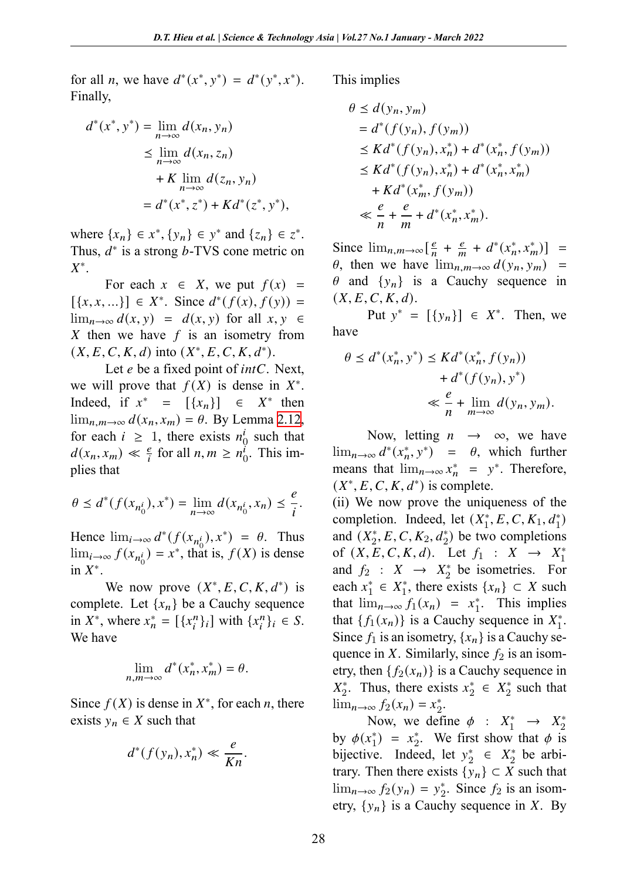for all *n*, we have  $d^*(x^*, y^*) = d^*(y^*, x^*)$ . Finally, Th<sub>1</sub>

$$
d^*(x^*, y^*) = \lim_{n \to \infty} d(x_n, y_n)
$$
  
\n
$$
\leq \lim_{n \to \infty} d(x_n, z_n)
$$
  
\n
$$
+ K \lim_{n \to \infty} d(z_n, y_n)
$$
  
\n
$$
= d^*(x^*, z^*) + Kd^*(z^*, y^*),
$$

where  $\{x_n\} \in x^*$ ,  $\{y_n\} \in y^*$  and  $\{z_n\} \in z^*$ . Thus,  $d^*$  is a strong  $b$ -TVS cone metric on  $X^*$ .

For each  $x \in X$ , we put  $f(x) =$  $[\{x, x, ...\}] \in X^*$ . Since  $d^*(f(x), f(y)) =$  $\lim_{n\to\infty} d(x, y) = d(x, y)$  $\lim_{n\to\infty} d(x, y) = d(x, y)$  $\lim_{n\to\infty} d(x, y) = d(x, y)$  for all  $x, y \in$ X then we have  $f$  is an isometry from  $(X, E, C, K, d)$  into  $(X^*, E, C, K, d^*)$ .

Let  $e$  be a fixed point of *intC*. Next, we will prove that  $f(X)$  is dense in  $X^*$ . Indeed, if  $x^* = [\{x_n\}] \in X^*$  then lim<sub>*n*,*m*→∞  $d(x_n, x_m) = \theta$ . By Lemma 2.12,</sub> for each  $i \geq 1$ , there exists  $n_0^i$  such that  $d(x_n, x_m) \ll \frac{e}{i}$  for all  $n, m \ge n_0^i$ . This implies that

$$
\theta \le d^*(f(x_{n_0^i}), x^*) = \lim_{n \to \infty} d(x_{n_0^i}, x_n) \le \frac{e}{i}.
$$

Hence  $\lim_{i\to\infty} d^*(f(x_{n_0^i}), x^*) = \theta$ . Thus  $\lim_{i\to\infty} f(x_{n_0^i}) = x^*$ , that is,  $f(X)$  is dense  $\operatorname{in} X^*$ .

We now prove  $(X^*, E, C, K, d^*)$  is complete. Let  $\{x_n\}$  be a Cauchy sequence in  $X^*$ , where  $x_n^* = [\{x_i^n\}_i]$  with  $\{x_i^n\}_i \in S$ . We have

$$
\lim_{n,m\to\infty}d^*(x_n^*,x_m^*)=\theta.
$$

Since  $f(X)$  is dense in  $X^*$ , for each *n*, there exists  $y_n \in X$  such that

$$
d^*(f(y_n), x_n^*) \ll \frac{e}{Kn}.
$$

$$
\theta \le d(y_n, y_m)
$$
  
=  $d^*(f(y_n), f(y_m))$   
 $\le Kd^*(f(y_n), x_n^*) + d^*(x_n^*, f(y_m))$   
 $\le Kd^*(f(y_n), x_n^*) + d^*(x_n^*, x_m^*)$   
+  $Kd^*(x_m^*, f(y_m))$   
 $\ll \frac{e}{n} + \frac{e}{m} + d^*(x_n^*, x_m^*).$ 

Since  $\lim_{n,m\to\infty} \left[\frac{e}{n}\right]$  $\frac{e}{n} + \frac{e}{m}$  $\frac{e}{m} + d^*(x_n^*, x_m^*)$  =  $\theta$ , then we have  $\lim_{n,m\to\infty} d(y_n, y_m)$  =  $\theta$  and  $\{y_n\}$  is a Cauchy sequence in  $(X, E, C, K, d).$ 

Put  $y^* = [{y_n}] \in X^*$ . Then, we have

$$
\theta \le d^*(x_n^*, y^*) \le K d^*(x_n^*, f(y_n))
$$
  
+ 
$$
d^*(f(y_n), y^*)
$$
  

$$
\le \frac{e}{n} + \lim_{m \to \infty} d(y_n, y_m).
$$

Now, letting  $n \rightarrow \infty$ , we have  $\lim_{n\to\infty} d^*(x_n^*, y^*) = \theta$ , which further means that  $\lim_{n\to\infty} x_n^* = y^*$ . Therefore,  $(X^*, E, C, K, d^*)$  is complete.

(ii) We now prove the uniqueness of the completion. Indeed, let  $(X_1^*, E, C, K_1, d_1^*)$ and  $(X_2^*, E, C, K_2, d_2^*)$  be two completions of  $(X, E, C, K, d)$ . Let  $f_1 : X \to X_1^*$ and  $f_2$  :  $X \rightarrow X_2^*$  be isometries. For each  $x_1^* \in X_1^*$ , there exists  $\{x_n\} \subset X$  such that  $\lim_{n\to\infty} f_1(x_n) = x_1^*$ . This implies that  $\{f_1(x_n)\}\$ is a Cauchy sequence in  $X_1^*$ . Since  $f_1$  is an isometry,  $\{x_n\}$  is a Cauchy sequence in X. Similarly, since  $f_2$  is an isometry, then  $\{f_2(x_n)\}\$ is a Cauchy sequence in  $X_2^*$ . Thus, there exists  $x_2^* \in X_2^*$  such that  $\lim_{n\to\infty} f_2(x_n) = x_2^*$ .

Now, we define  $\phi : X_1^* \rightarrow X_2^*$ by  $\phi(x_1^*) = x_2^*$ . We first show that  $\phi$  is bijective. Indeed, let  $y_2^* \in X_2^*$  be arbitrary. Then there exists  $\{y_n\} \subset X$  such that  $\lim_{n\to\infty} f_2(y_n) = y_2^*$ . Since  $f_2$  is an isometry,  $\{y_n\}$  is a Cauchy sequence in X. By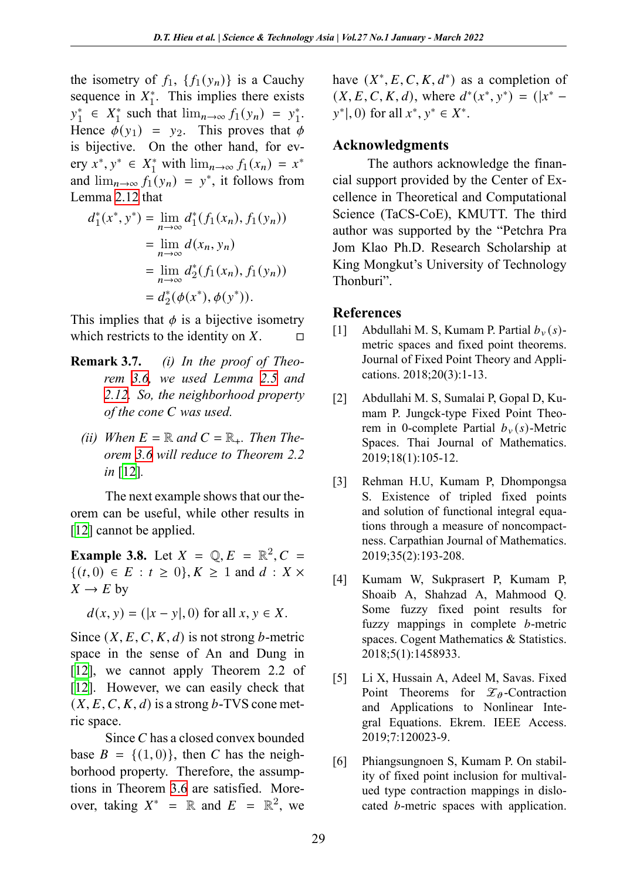the isometry of  $f_1$ ,  $\{f_1(y_n)\}\$ is a Cauchy sequenc[e in](#page-3-0)  $X_1^*$ . This implies there exists  $y_1^* \in X_1^*$  such that  $\lim_{n \to \infty} f_1(y_n) = y_1^*$ . Hence  $\phi(y_1) = y_2$ . This proves that  $\phi$ is bijective. On the other hand, for every  $x^*$ ,  $y^* \in X_1^*$  with  $\lim_{n \to \infty} f_1(x_n) = x^*$ and  $\lim_{n\to\infty} f_1(y_n) = y^*$ , it follows from Lemma 2.12 that

$$
d_1^*(x^*, y^*) = \lim_{n \to \infty} d_1^*(f_1(x_n), f_1(y_n))
$$
  
= 
$$
\lim_{n \to \infty} d(x_n, y_n)
$$
  
= 
$$
\lim_{n \to \infty} d_2^*(f_1(x_n), f_1(y_n))
$$
  
= 
$$
d_2^*(\phi(x^*), \phi(y^*)).
$$

This implies that  $\phi$  is a bijective isometry which restricts to the identity on  $X$ .  $\Box$ 

- **Remark [3.7](#page-10-6)[.](#page-6-1)** *(i) In the proof of Theorem 3.6, we used Lemma 2.5 and 2.12. So, the neighborhood property of the cone C* was used.
	- *[\(i](#page-10-6)i)* When  $E = \mathbb{R}$  and  $C = \mathbb{R}_+$ . Then The*orem 3.6 will reduce to Theorem 2.2 in* [12]*.*

The next example shows that our theorem can be useful, while other results in [12] cannot be applied.

**Example 3.8.** Let  $X = \mathbb{Q}, E = \mathbb{R}^2, C =$  $\{(t,0) \in E : t \geq 0\}, K \geq 1 \text{ and } d : X \times$  $\{(t,0) \in E : t \geq 0\}, K \geq 1 \text{ and } d : X \times$  $\{(t,0) \in E : t \geq 0\}, K \geq 1 \text{ and } d : X \times$  $X \to E$  by

 $d(x, y) = (|x - y|, 0)$  for all  $x, y \in X$ .

Since  $(X, E, C, K, d)$  is not strong *b*-metric space in the sense of An and Dung in [12], we cannot apply Theorem 2.2 of [12]. However, [we c](#page-6-1)an easily check that  $(X, E, C, K, d)$  is a strong b-TVS cone metric space.

Since  $C$  has a closed convex bounded base  $B = \{(1, 0)\}\text{, then } C \text{ has the neigh$ borhood property. Therefore, the assumptions in Theorem 3.6 are satisfied. Moreover, taking  $X^* = \mathbb{R}$  and  $E = \mathbb{R}^2$ , we

have  $(X^*, E, C, K, d^*)$  as a completion of  $(X, E, C, K, d)$ , where  $d^*(x^*, y^*) = (|x^*$  $y^*$ , 0) for all  $x^*$ ,  $y^* \in X^*$ .

#### **Acknowledgments**

<span id="page-9-0"></span>The authors acknowledge the financial support provided by the Center of Excellence in Theoretical and Computational Science (TaCS-CoE), KMUTT. The third author was supported by the "Petchra Pra Jom Klao Ph.D. Research Scholarship at King Mongkut's University of Technology Thonburi".

### **References**

- [1] Abdullahi M. S, Kumam P. Partial  $b_v(s)$ metric spaces and fixed point theorems. Journal of Fixed Point Theory and Applications. 2018;20(3):1-13.
- [2] Abdullahi M. S, Sumalai P, Gopal D, Kumam P. Jungck-type Fixed Point Theorem in 0-complete Partial  $b<sub>v</sub>(s)$ -Metric Spaces. Thai Journal of Mathematics. 2019;18(1):105-12.
- [3] Rehman H.U, Kumam P, Dhompongsa S. Existence of tripled fixed points and solution of functional integral equations through a measure of noncompactness. Carpathian Journal of Mathematics. 2019;35(2):193-208.
- [4] Kumam W, Sukprasert P, Kumam P, Shoaib A, Shahzad A, Mahmood Q. Some fuzzy fixed point results for fuzzy mappings in complete  $b$ -metric spaces. Cogent Mathematics & Statistics. 2018;5(1):1458933.
- [5] Li X, Hussain A, Adeel M, Savas. Fixed Point Theorems for  $\mathcal{Z}_{\theta}$ -Contraction and Applications to Nonlinear Integral Equations. Ekrem. IEEE Access. 2019;7:120023-9.
- [6] Phiangsungnoen S, Kumam P. On stability of fixed point inclusion for multivalued type contraction mappings in dislocated  $b$ -metric spaces with application.